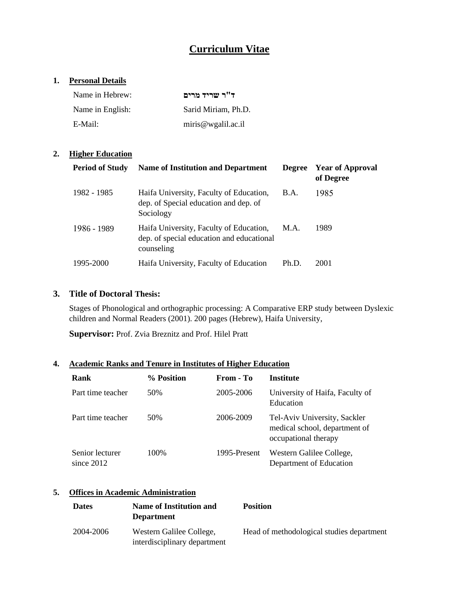# **Curriculum Vitae**

### **1. Personal Details**

| Name in Hebrew:  | ד"ר שריד מרים       |
|------------------|---------------------|
| Name in English: | Sarid Miriam, Ph.D. |
| E-Mail:          | miris@wgalil.ac.i   |

## **2. Higher Education**

| <b>Period of Study</b> | <b>Name of Institution and Department</b>                                                          | <b>Degree</b> | <b>Year of Approval</b><br>of Degree |
|------------------------|----------------------------------------------------------------------------------------------------|---------------|--------------------------------------|
| 1982 - 1985            | Haifa University, Faculty of Education,<br>dep. of Special education and dep. of<br>Sociology      | B.A.          | 1985                                 |
| 1986 - 1989            | Haifa University, Faculty of Education,<br>dep. of special education and educational<br>counseling | M.A.          | 1989                                 |
| 1995-2000              | Haifa University, Faculty of Education                                                             | Ph.D.         | 2001                                 |

### **3. Title of Doctoral Thesis:**

Stages of Phonological and orthographic processing: A Comparative ERP study between Dyslexic children and Normal Readers (2001). 200 pages (Hebrew), Haifa University,

**Supervisor:** Prof. Zvia Breznitz and Prof. Hilel Pratt

## **4. Academic Ranks and Tenure in Institutes of Higher Education**

| Rank                            | % Position | From - To    | Institute                                                                             |
|---------------------------------|------------|--------------|---------------------------------------------------------------------------------------|
| Part time teacher               | 50%        | 2005-2006    | University of Haifa, Faculty of<br>Education                                          |
| Part time teacher               | 50%        | 2006-2009    | Tel-Aviv University, Sackler<br>medical school, department of<br>occupational therapy |
| Senior lecturer<br>since $2012$ | 100%       | 1995-Present | Western Galilee College,<br>Department of Education                                   |

## **5. Offices in Academic Administration**

| <b>Dates</b> | Name of Institution and<br><b>Department</b>             | <b>Position</b>                           |
|--------------|----------------------------------------------------------|-------------------------------------------|
| 2004-2006    | Western Galilee College,<br>interdisciplinary department | Head of methodological studies department |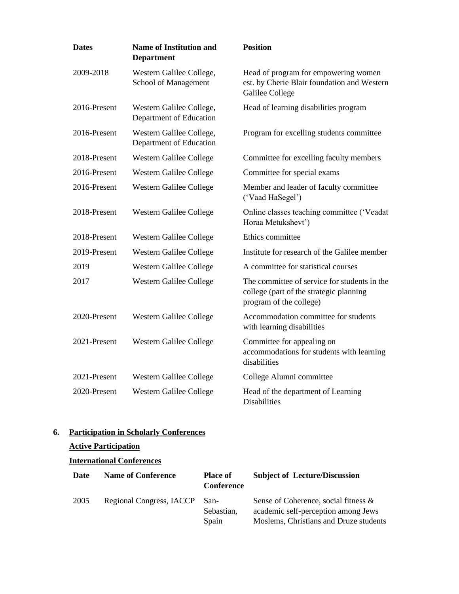| <b>Dates</b> | <b>Name of Institution and</b><br><b>Department</b> | <b>Position</b>                                                                                                    |
|--------------|-----------------------------------------------------|--------------------------------------------------------------------------------------------------------------------|
| 2009-2018    | Western Galilee College,<br>School of Management    | Head of program for empowering women<br>est. by Cherie Blair foundation and Western<br><b>Galilee College</b>      |
| 2016-Present | Western Galilee College,<br>Department of Education | Head of learning disabilities program                                                                              |
| 2016-Present | Western Galilee College,<br>Department of Education | Program for excelling students committee                                                                           |
| 2018-Present | Western Galilee College                             | Committee for excelling faculty members                                                                            |
| 2016-Present | <b>Western Galilee College</b>                      | Committee for special exams                                                                                        |
| 2016-Present | Western Galilee College                             | Member and leader of faculty committee<br>('Vaad HaSegel')                                                         |
| 2018-Present | Western Galilee College                             | Online classes teaching committee ('Veadat<br>Horaa Metukshevt')                                                   |
| 2018-Present | Western Galilee College                             | Ethics committee                                                                                                   |
| 2019-Present | Western Galilee College                             | Institute for research of the Galilee member                                                                       |
| 2019         | Western Galilee College                             | A committee for statistical courses                                                                                |
| 2017         | Western Galilee College                             | The committee of service for students in the<br>college (part of the strategic planning<br>program of the college) |
| 2020-Present | Western Galilee College                             | Accommodation committee for students<br>with learning disabilities                                                 |
| 2021-Present | Western Galilee College                             | Committee for appealing on<br>accommodations for students with learning<br>disabilities                            |
| 2021-Present | <b>Western Galilee College</b>                      | College Alumni committee                                                                                           |
| 2020-Present | <b>Western Galilee College</b>                      | Head of the department of Learning<br><b>Disabilities</b>                                                          |

## **6. Participation in Scholarly Conferences**

## **Active Participation**

## **International Conferences**

| Date | <b>Name of Conference</b> | <b>Place of</b><br><b>Conference</b> | <b>Subject of Lecture/Discussion</b>                                                                                  |
|------|---------------------------|--------------------------------------|-----------------------------------------------------------------------------------------------------------------------|
| 2005 | Regional Congress, IACCP  | San-<br>Sebastian,<br>Spain          | Sense of Coherence, social fitness &<br>academic self-perception among Jews<br>Moslems, Christians and Druze students |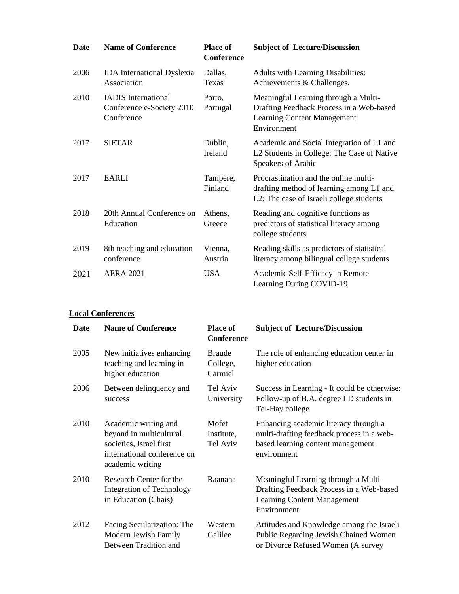| <b>Date</b> | <b>Name of Conference</b>                                             | <b>Place of</b><br><b>Conference</b> | <b>Subject of Lecture/Discussion</b>                                                                                                  |
|-------------|-----------------------------------------------------------------------|--------------------------------------|---------------------------------------------------------------------------------------------------------------------------------------|
| 2006        | <b>IDA</b> International Dyslexia<br>Association                      | Dallas,<br>Texas                     | <b>Adults with Learning Disabilities:</b><br>Achievements & Challenges.                                                               |
| 2010        | <b>IADIS</b> International<br>Conference e-Society 2010<br>Conference | Porto,<br>Portugal                   | Meaningful Learning through a Multi-<br>Drafting Feedback Process in a Web-based<br><b>Learning Content Management</b><br>Environment |
| 2017        | <b>SIETAR</b>                                                         | Dublin,<br>Ireland                   | Academic and Social Integration of L1 and<br>L2 Students in College: The Case of Native<br>Speakers of Arabic                         |
| 2017        | <b>EARLI</b>                                                          | Tampere,<br>Finland                  | Procrastination and the online multi-<br>drafting method of learning among L1 and<br>L2: The case of Israeli college students         |
| 2018        | 20th Annual Conference on<br>Education                                | Athens,<br>Greece                    | Reading and cognitive functions as<br>predictors of statistical literacy among<br>college students                                    |
| 2019        | 8th teaching and education<br>conference                              | Vienna,<br>Austria                   | Reading skills as predictors of statistical<br>literacy among bilingual college students                                              |
| 2021        | <b>AERA 2021</b>                                                      | <b>USA</b>                           | Academic Self-Efficacy in Remote<br>Learning During COVID-19                                                                          |

### **Local Conferences**

| Date | <b>Name of Conference</b>                                                                                                     | <b>Place of</b><br><b>Conference</b> | <b>Subject of Lecture/Discussion</b>                                                                                                   |
|------|-------------------------------------------------------------------------------------------------------------------------------|--------------------------------------|----------------------------------------------------------------------------------------------------------------------------------------|
| 2005 | New initiatives enhancing<br>teaching and learning in<br>higher education                                                     | <b>Braude</b><br>College,<br>Carmiel | The role of enhancing education center in<br>higher education                                                                          |
| 2006 | Between delinquency and<br>success                                                                                            | Tel Aviv<br>University               | Success in Learning - It could be otherwise:<br>Follow-up of B.A. degree LD students in<br>Tel-Hay college                             |
| 2010 | Academic writing and<br>beyond in multicultural<br>societies, Israel first<br>international conference on<br>academic writing | Mofet<br>Institute,<br>Tel Aviv      | Enhancing academic literacy through a<br>multi-drafting feedback process in a web-<br>based learning content management<br>environment |
| 2010 | Research Center for the<br><b>Integration of Technology</b><br>in Education (Chais)                                           | Raanana                              | Meaningful Learning through a Multi-<br>Drafting Feedback Process in a Web-based<br><b>Learning Content Management</b><br>Environment  |
| 2012 | Facing Secularization: The<br>Modern Jewish Family<br><b>Between Tradition and</b>                                            | Western<br>Galilee                   | Attitudes and Knowledge among the Israeli<br>Public Regarding Jewish Chained Women<br>or Divorce Refused Women (A survey               |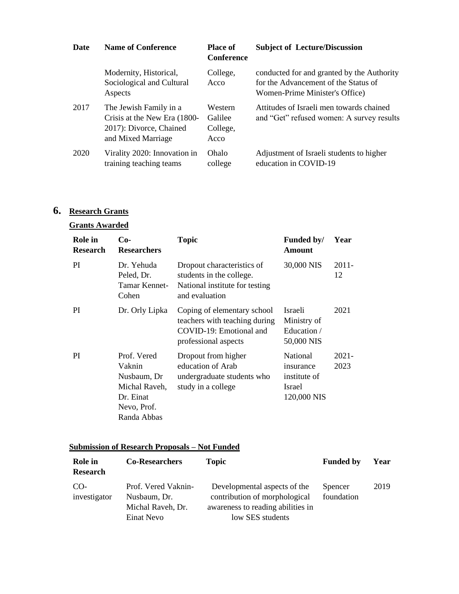| Date | <b>Name of Conference</b>                                                                               | <b>Place of</b><br><b>Conference</b>   | <b>Subject of Lecture/Discussion</b>                                                                                 |
|------|---------------------------------------------------------------------------------------------------------|----------------------------------------|----------------------------------------------------------------------------------------------------------------------|
|      | Modernity, Historical,<br>Sociological and Cultural<br>Aspects                                          | College,<br>Acco                       | conducted for and granted by the Authority<br>for the Advancement of the Status of<br>Women-Prime Minister's Office) |
| 2017 | The Jewish Family in a<br>Crisis at the New Era (1800-<br>2017): Divorce, Chained<br>and Mixed Marriage | Western<br>Galilee<br>College,<br>Acco | Attitudes of Israeli men towards chained<br>and "Get" refused women: A survey results                                |
| 2020 | Virality 2020: Innovation in<br>training teaching teams                                                 | Ohalo<br>college                       | Adjustment of Israeli students to higher<br>education in COVID-19                                                    |

# **6. Research Grants**

## **Grants Awarded**

| Role in<br><b>Research</b> | $Co-$<br><b>Researchers</b>                                                                      | <b>Topic</b>                                                                                                    | Funded by/<br><b>Amount</b>                                    | Year             |
|----------------------------|--------------------------------------------------------------------------------------------------|-----------------------------------------------------------------------------------------------------------------|----------------------------------------------------------------|------------------|
| PI.                        | Dr. Yehuda<br>Peled, Dr.<br>Tamar Kennet-<br>Cohen                                               | Dropout characteristics of<br>students in the college.<br>National institute for testing<br>and evaluation      | 30,000 NIS                                                     | $2011 -$<br>12   |
| PI.                        | Dr. Orly Lipka                                                                                   | Coping of elementary school<br>teachers with teaching during<br>COVID-19: Emotional and<br>professional aspects | <b>Israeli</b><br>Ministry of<br>Education /<br>50,000 NIS     | 2021             |
| <sub>PI</sub>              | Prof. Vered<br>Vaknin<br>Nusbaum, Dr<br>Michal Raveh,<br>Dr. Einat<br>Nevo, Prof.<br>Randa Abbas | Dropout from higher<br>education of Arab<br>undergraduate students who<br>study in a college                    | National<br>insurance<br>institute of<br>Israel<br>120,000 NIS | $2021 -$<br>2023 |

## **Submission of Research Proposals – Not Funded**

| <b>Role</b> in<br><b>Research</b> | <b>Co-Researchers</b>                                    | <b>Topic</b>                                                                                       | <b>Funded by</b>      | Year |
|-----------------------------------|----------------------------------------------------------|----------------------------------------------------------------------------------------------------|-----------------------|------|
| CO-<br>investigator               | Prof. Vered Vaknin-<br>Nusbaum, Dr.<br>Michal Raveh, Dr. | Developmental aspects of the<br>contribution of morphological<br>awareness to reading abilities in | Spencer<br>foundation | 2019 |
|                                   | Einat Nevo                                               | low SES students                                                                                   |                       |      |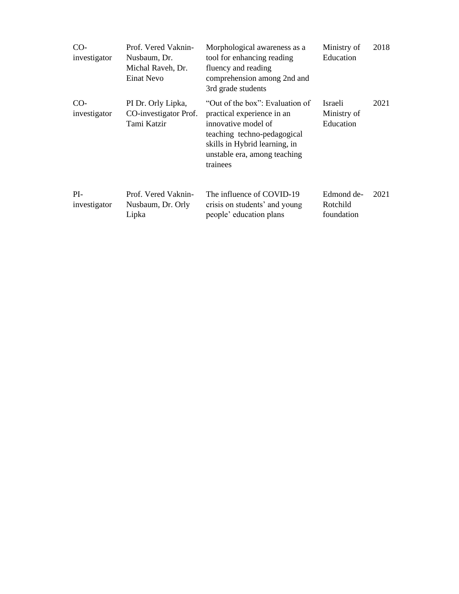| $CO-$<br>investigator | Prof. Vered Vaknin-<br>Nusbaum, Dr.<br>Michal Raveh, Dr.<br>Einat Nevo | Morphological awareness as a<br>tool for enhancing reading<br>fluency and reading<br>comprehension among 2nd and<br>3rd grade students                                                           | Ministry of<br>Education             | 2018 |
|-----------------------|------------------------------------------------------------------------|--------------------------------------------------------------------------------------------------------------------------------------------------------------------------------------------------|--------------------------------------|------|
| $CO-$<br>investigator | PI Dr. Orly Lipka,<br>CO-investigator Prof.<br>Tami Katzir             | "Out of the box": Evaluation of<br>practical experience in an<br>innovative model of<br>teaching techno-pedagogical<br>skills in Hybrid learning, in<br>unstable era, among teaching<br>trainees | Israeli<br>Ministry of<br>Education  | 2021 |
| $PI-$<br>investigator | Prof. Vered Vaknin-<br>Nusbaum, Dr. Orly<br>Lipka                      | The influence of COVID-19<br>crisis on students' and young<br>people' education plans                                                                                                            | Edmond de-<br>Rotchild<br>foundation | 2021 |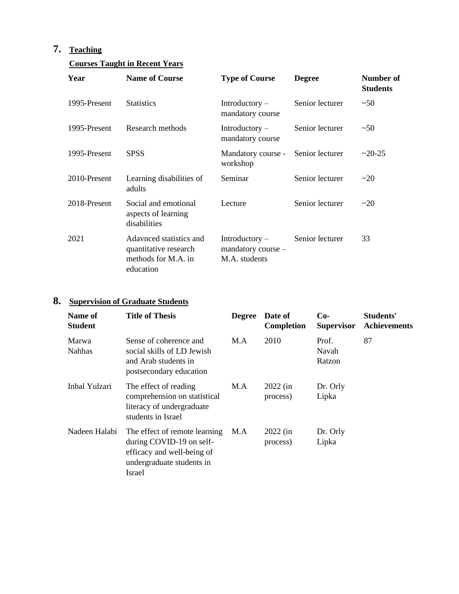# **7. Teaching**

# **Courses Taught in Recent Years**

| Year         | <b>Name of Course</b>                                                                | <b>Type of Course</b>                                       | <b>Degree</b>   | Number of<br><b>Students</b> |
|--------------|--------------------------------------------------------------------------------------|-------------------------------------------------------------|-----------------|------------------------------|
| 1995-Present | <b>Statistics</b>                                                                    | $Introducing -$<br>mandatory course                         | Senior lecturer | ~50                          |
| 1995-Present | Research methods                                                                     | $Introducing -$<br>mandatory course                         | Senior lecturer | ~50                          |
| 1995-Present | <b>SPSS</b>                                                                          | Mandatory course -<br>workshop                              | Senior lecturer | $\approx$ 20-25              |
| 2010-Present | Learning disabilities of<br>adults                                                   | Seminar                                                     | Senior lecturer | $\sim$ 20                    |
| 2018-Present | Social and emotional<br>aspects of learning<br>disabilities                          | Lecture                                                     | Senior lecturer | $\sim$ 20                    |
| 2021         | Adavnced statistics and<br>quantitative research<br>methods for M.A. in<br>education | $Introducing -$<br>$m$ andatory course $-$<br>M.A. students | Senior lecturer | 33                           |

# **8. Supervision of Graduate Students**

| Name of<br><b>Student</b> | <b>Title of Thesis</b>                                                                                                         | <b>Degree</b> | Date of<br>Completion  | $Co-$<br><b>Supervisor</b> | Students'<br><b>Achievements</b> |
|---------------------------|--------------------------------------------------------------------------------------------------------------------------------|---------------|------------------------|----------------------------|----------------------------------|
| Marwa<br><b>Nahhas</b>    | Sense of coherence and<br>social skills of LD Jewish<br>and Arab students in<br>postsecondary education                        | M.A           | 2010                   | Prof.<br>Navah<br>Ratzon   | 87                               |
| Inbal Yulzari             | The effect of reading<br>comprehension on statistical<br>literacy of undergraduate<br>students in Israel                       | M.A           | $2022$ (in<br>process) | Dr. Orly<br>Lipka          |                                  |
| Nadeen Halabi             | The effect of remote learning<br>during COVID-19 on self-<br>efficacy and well-being of<br>undergraduate students in<br>Israel | M.A           | $2022$ (in<br>process) | Dr. Orly<br>Lipka          |                                  |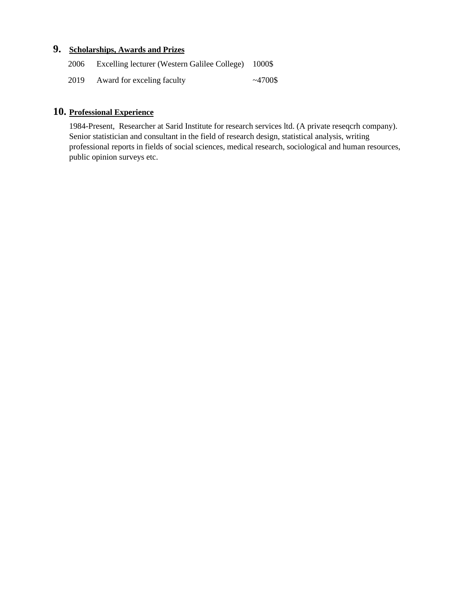## **9. Scholarships, Awards and Prizes**

| 2006 | Excelling lecturer (Western Galilee College) 1000\$ |               |
|------|-----------------------------------------------------|---------------|
| 2019 | Award for exceling faculty                          | $\sim$ 4700\$ |

## **10. Professional Experience**

1984-Present, Researcher at Sarid Institute for research services ltd. (A private reseqcrh company). Senior statistician and consultant in the field of research design, statistical analysis, writing professional reports in fields of social sciences, medical research, sociological and human resources, public opinion surveys etc.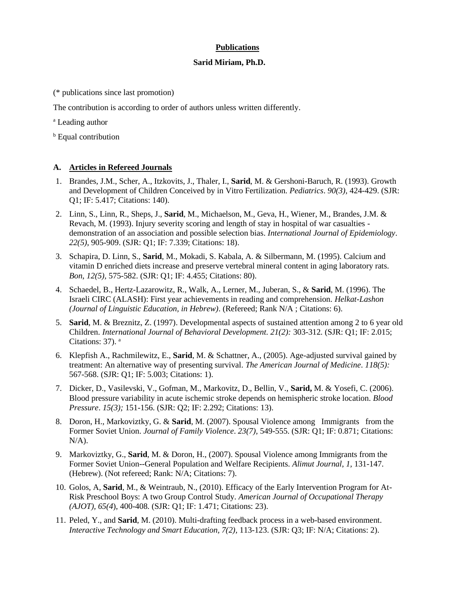### **Publications**

### **Sarid Miriam, Ph.D.**

(\* publications since last promotion)

The contribution is according to order of authors unless written differently.

<sup>a</sup> Leading author

**b** Equal contribution

### **A. Articles in Refereed Journals**

- 1. Brandes, J.M., Scher, A., Itzkovits, J., Thaler, I., **Sarid**, M. & Gershoni-Baruch, R. (1993). Growth and Development of Children Conceived by in Vitro Fertilization. *Pediatrics*. *90(3),* 424-429. (SJR: Q1; IF: 5.417; Citations: 140).
- 2. Linn, S., Linn, R., Sheps, J., **Sarid**, M., Michaelson, M., Geva, H., Wiener, M., Brandes, J.M. & Revach, M. (1993). Injury severity scoring and length of stay in hospital of war casualties demonstration of an association and possible selection bias. *International Journal of Epidemiology*. *22(5)*, 905-909. (SJR: Q1; IF: 7.339; Citations: 18).
- 3. Schapira, D. Linn, S., **Sarid**, M., Mokadi, S. Kabala, A. & Silbermann, M. (1995). Calcium and vitamin D enriched diets increase and preserve vertebral mineral content in aging laboratory rats. *Bon*, *12(5),* 575-582. (SJR: Q1; IF: 4.455; Citations: 80).
- 4. Schaedel, B., Hertz-Lazarowitz, R., Walk, A., Lerner, M., Juberan, S., & **Sarid**, M. (1996). The Israeli CIRC (ALASH): First year achievements in reading and comprehension. *Helkat-Lashon (Journal of Linguistic Education, in Hebrew)*. (Refereed; Rank N/A ; Citations: 6).
- 5. **Sarid**, M. & Breznitz, Z. (1997). Developmental aspects of sustained attention among 2 to 6 year old Children. *International Journal of Behavioral Development. 21(2):* 303-312*.* (SJR: Q1; IF: 2.015; Citations: 37). <sup>a</sup>
- 6. Klepfish A., Rachmilewitz, E., **Sarid**, M. & Schattner, A., (2005). Age-adjusted survival gained by treatment: An alternative way of presenting survival. *The American Journal of Medicine*. *118(5):* 567-568. (SJR: Q1; IF: 5.003; Citations: 1).
- 7. Dicker, D., Vasilevski, V., Gofman, M., Markovitz, D., Bellin, V., **Sarid,** M. & Yosefi, C. (2006). Blood pressure variability in acute ischemic stroke depends on hemispheric stroke location. *Blood Pressure*. *15(3);* 151-156. (SJR: Q2; IF: 2.292; Citations: 13).
- 8. Doron, H., Markoviztky, G. & **Sarid**, M. (2007). Spousal Violence among Immigrants from the Former Soviet Union. *Journal of Family Violence*. *23(7),* 549-555. (SJR: Q1; IF: 0.871; Citations:  $N/A$ ).
- 9. Markoviztky, G., **Sarid**, M. & Doron, H., (2007). Spousal Violence among Immigrants from the Former Soviet Union--General Population and Welfare Recipients. *Alimut Journal*, *1,* 131-147. (Hebrew). (Not refereed; Rank: N/A; Citations: 7).
- 10. Golos, A, **Sarid**, M., & Weintraub, N., (2010). Efficacy of the Early Intervention Program for At-Risk Preschool Boys: A two Group Control Study. *American Journal of Occupational Therapy (AJOT), 65(4*), 400-408*.* (SJR: Q1; IF: 1.471; Citations: 23).
- 11. Peled, Y., and **Sarid**, M. (2010). Multi-drafting feedback process in a web-based environment. *Interactive Technology and Smart Education, 7(2),* 113-123. (SJR: Q3; IF: N/A; Citations: 2).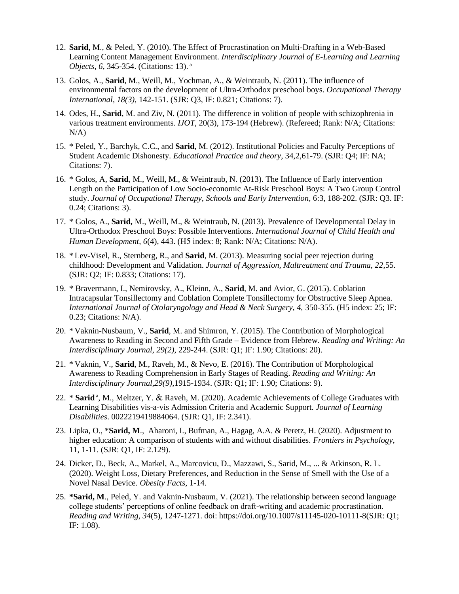- 12. **Sarid**, M., & Peled, Y. (2010). The Effect of Procrastination on Multi-Drafting in a Web-Based Learning Content Management Environment*. Interdisciplinary Journal of E-Learning and Learning Objects*, *6*, 345-354. (Citations: 13). <sup>a</sup>
- 13. Golos, A., **Sarid**, M., Weill, M., Yochman, A., & Weintraub, N. (2011). The influence of environmental factors on the development of Ultra-Orthodox preschool boys. *Occupational Therapy International*, *18(3),* 142-151. (SJR: Q3, IF: 0.821; Citations: 7).
- 14. Odes, H., **Sarid**, M. and Ziv, N. (2011). The difference in volition of people with schizophrenia in various treatment environments. *IJOT*, 20(3), 173-194 (Hebrew). (Refereed; Rank: N/A; Citations:  $N/A$ )
- 15. \* Peled, Y., Barchyk, C.C., and **Sarid**, M. (2012). Institutional Policies and Faculty Perceptions of Student Academic Dishonesty. *Educational Practice and theory*, 34,2,61-79. (SJR: Q4; IF: NA; Citations: 7).
- 16. \* Golos, A, **Sarid**, M., Weill, M., & Weintraub, N. (2013). The Influence of Early intervention Length on the Participation of Low Socio-economic At-Risk Preschool Boys: A Two Group Control study. *Journal of Occupational Therapy, Schools and Early Intervention,* 6:3, 188-202. (SJR: Q3. IF: 0.24; Citations: 3).
- 17. \* Golos, A., **Sarid,** M., Weill, M., & Weintraub, N. (2013). Prevalence of Developmental Delay in Ultra-Orthodox Preschool Boys: Possible Interventions. *International Journal of Child Health and Human Development*, *6*(4), 443. (H5 index: 8; Rank: N/A; Citations: N/A).
- 18. \* Lev-Visel, R., Sternberg, R., and **Sarid**, M. (2013). Measuring social peer rejection during childhood: Development and Validation. *Journal of Aggression, Maltreatment and Trauma, 22*,55. (SJR: Q2; IF: 0.833; Citations: 17).
- 19. \* Bravermann, I., Nemirovsky, A., Kleinn, A., **Sarid**, M. and Avior, G. (2015). Coblation Intracapsular Tonsillectomy and Coblation Complete Tonsillectomy for Obstructive Sleep Apnea. *International Journal of Otolaryngology and Head & Neck Surgery, 4,* 350-355. (H5 index: 25; IF: 0.23; Citations: N/A).
- 20. \* Vaknin-Nusbaum, V., **Sarid**, M. and Shimron, Y. (2015). The Contribution of Morphological Awareness to Reading in Second and Fifth Grade – Evidence from Hebrew. *Reading and Writing: An Interdisciplinary Journal, 29(2),* 229-244. (SJR: Q1; IF: 1.90; Citations: 20).
- 21. \* Vaknin, V., **Sarid**, M., Raveh, M., & Nevo, E. (2016). The Contribution of Morphological Awareness to Reading Comprehension in Early Stages of Reading. *Reading and Writing: An Interdisciplinary Journal,29(9),*1915-1934. (SJR: Q1; IF: 1.90; Citations: 9).
- 22. \* Sarid<sup>a</sup>, M., Meltzer, Y. & Raveh, M. (2020). Academic Achievements of College Graduates with Learning Disabilities vis-a-vis Admission Criteria and Academic Support. *Journal of Learning Disabilities*. 0022219419884064. (SJR: Q1, IF: 2.341).
- 23. Lipka, O., \***Sarid, M**., Aharoni, I., Bufman, A., Hagag, A.A. & Peretz, H. (2020). Adjustment to higher education: A comparison of students with and without disabilities. *Frontiers in Psychology*, 11, 1-11. (SJR: Q1, IF: 2.129).
- 24. Dicker, D., Beck, A., Markel, A., Marcovicu, D., Mazzawi, S., Sarid, M., ... & Atkinson, R. L. (2020). Weight Loss, Dietary Preferences, and Reduction in the Sense of Smell with the Use of a Novel Nasal Device. *Obesity Facts*, 1-14.
- 25. **\*Sarid, M**., Peled, Y. and Vaknin-Nusbaum, V. (2021). The relationship between second language college students' perceptions of online feedback on draft-writing and academic procrastination. *Reading and Writing*, *34*(5), 1247-1271. doi: https://doi.org/10.1007/s11145-020-10111-8(SJR: Q1; IF: 1.08).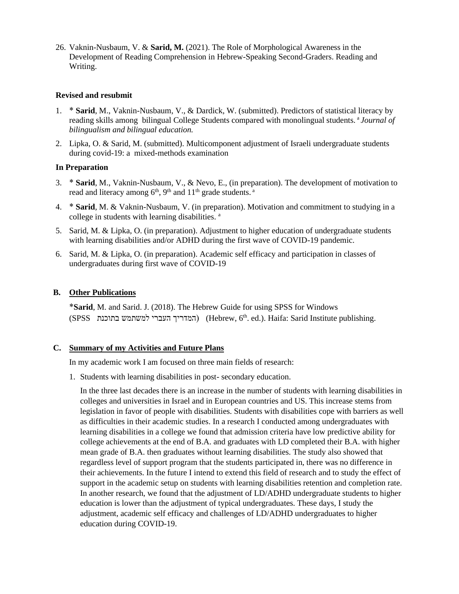26. Vaknin-Nusbaum, V. & **Sarid, M.** (2021). The Role of Morphological Awareness in the Development of Reading Comprehension in Hebrew-Speaking Second-Graders. Reading and Writing.

### **Revised and resubmit**

- 1. \* **Sarid**, M., Vaknin-Nusbaum, V., & Dardick, W. (submitted). Predictors of statistical literacy by reading skills among bilingual College Students compared with monolingual students. <sup>a</sup>*Journal of bilingualism and bilingual education.*
- 2. Lipka, O. & Sarid, M. (submitted). Multicomponent adjustment of Israeli undergraduate students during covid-19: a mixed-methods examination

### **In Preparation**

- 3. \* **Sarid**, M., Vaknin-Nusbaum, V., & Nevo, E., (in preparation). The development of motivation to read and literacy among  $6<sup>th</sup>$ ,  $9<sup>th</sup>$  and  $11<sup>th</sup>$  grade students.<sup>a</sup>
- 4. \* **Sarid**, M. & Vaknin-Nusbaum, V. (in preparation). Motivation and commitment to studying in a college in students with learning disabilities. <sup>a</sup>
- 5. Sarid, M. & Lipka, O. (in preparation). Adjustment to higher education of undergraduate students with learning disabilities and/or ADHD during the first wave of COVID-19 pandemic.
- 6. Sarid, M. & Lipka, O. (in preparation). Academic self efficacy and participation in classes of undergraduates during first wave of COVID-19

#### **B. Other Publications**

\***Sarid**, M. and Sarid. J. (2018). The Hebrew Guide for using SPSS for Windows (SPSS המדריך העברי למשתמש בתוכנת) (Hebrew,  $6<sup>th</sup>$ . ed.). Haifa: Sarid Institute publishing.

### **C. Summary of my Activities and Future Plans**

In my academic work I am focused on three main fields of research:

1. Students with learning disabilities in post- secondary education.

In the three last decades there is an increase in the number of students with learning disabilities in colleges and universities in Israel and in European countries and US. This increase stems from legislation in favor of people with disabilities. Students with disabilities cope with barriers as well as difficulties in their academic studies. In a research I conducted among undergraduates with learning disabilities in a college we found that admission criteria have low predictive ability for college achievements at the end of B.A. and graduates with LD completed their B.A. with higher mean grade of B.A. then graduates without learning disabilities. The study also showed that regardless level of support program that the students participated in, there was no difference in their achievements. In the future I intend to extend this field of research and to study the effect of support in the academic setup on students with learning disabilities retention and completion rate. In another research, we found that the adjustment of LD/ADHD undergraduate students to higher education is lower than the adjustment of typical undergraduates. These days, I study the adjustment, academic self efficacy and challenges of LD/ADHD undergraduates to higher education during COVID-19.